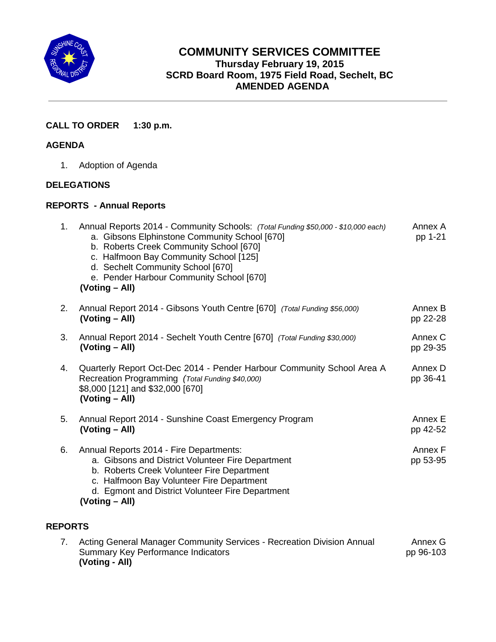

# **COMMUNITY SERVICES COMMITTEE Thursday February 19, 2015 SCRD Board Room, 1975 Field Road, Sechelt, BC AMENDED AGENDA**

## **CALL TO ORDER 1:30 p.m.**

### **AGENDA**

1. Adoption of Agenda

#### **DELEGATIONS**

#### **REPORTS - Annual Reports**

**(Voting - All)**

| 1.             | Annual Reports 2014 - Community Schools: (Total Funding \$50,000 - \$10,000 each)<br>a. Gibsons Elphinstone Community School [670]<br>b. Roberts Creek Community School [670]<br>c. Halfmoon Bay Community School [125]<br>d. Sechelt Community School [670]<br>e. Pender Harbour Community School [670]<br>(Voting – All) | Annex A<br>pp 1-21   |
|----------------|----------------------------------------------------------------------------------------------------------------------------------------------------------------------------------------------------------------------------------------------------------------------------------------------------------------------------|----------------------|
| 2.             | Annual Report 2014 - Gibsons Youth Centre [670] (Total Funding \$56,000)<br>(Voting – All)                                                                                                                                                                                                                                 | Annex B<br>pp 22-28  |
| 3.             | Annual Report 2014 - Sechelt Youth Centre [670] (Total Funding \$30,000)<br>(Voting - All)                                                                                                                                                                                                                                 | Annex C<br>pp 29-35  |
| 4.             | Quarterly Report Oct-Dec 2014 - Pender Harbour Community School Area A<br>Recreation Programming (Total Funding \$40,000)<br>\$8,000 [121] and \$32,000 [670]<br>(Voting – All)                                                                                                                                            | Annex D<br>pp 36-41  |
| 5.             | Annual Report 2014 - Sunshine Coast Emergency Program<br>(Voting – All)                                                                                                                                                                                                                                                    | Annex E<br>pp 42-52  |
| 6.             | Annual Reports 2014 - Fire Departments:<br>a. Gibsons and District Volunteer Fire Department<br>b. Roberts Creek Volunteer Fire Department<br>c. Halfmoon Bay Volunteer Fire Department<br>d. Egmont and District Volunteer Fire Department<br>(Voting – All)                                                              | Annex F<br>pp 53-95  |
| <b>REPORTS</b> |                                                                                                                                                                                                                                                                                                                            |                      |
| 7.             | Acting General Manager Community Services - Recreation Division Annual<br><b>Summary Key Performance Indicators</b>                                                                                                                                                                                                        | Annex G<br>pp 96-103 |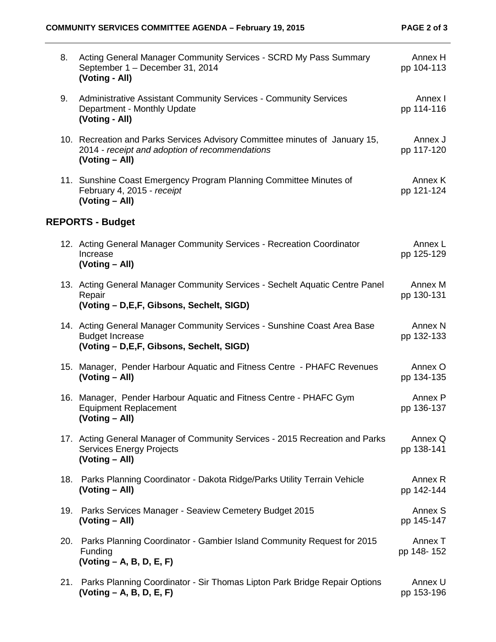| 8.  | Acting General Manager Community Services - SCRD My Pass Summary<br>September 1 - December 31, 2014<br>(Voting - All)                            | Annex H<br>pp 104-113            |
|-----|--------------------------------------------------------------------------------------------------------------------------------------------------|----------------------------------|
| 9.  | <b>Administrative Assistant Community Services - Community Services</b><br>Department - Monthly Update<br>(Voting - All)                         | Annex I<br>pp 114-116            |
|     | 10. Recreation and Parks Services Advisory Committee minutes of January 15,<br>2014 - receipt and adoption of recommendations<br>(Voting – All)  | Annex J<br>pp 117-120            |
|     | 11. Sunshine Coast Emergency Program Planning Committee Minutes of<br>February 4, 2015 - receipt<br>(Voting - All)                               | Annex K<br>pp 121-124            |
|     | <b>REPORTS - Budget</b>                                                                                                                          |                                  |
|     | 12. Acting General Manager Community Services - Recreation Coordinator<br>Increase<br>(Voting - All)                                             | Annex L<br>pp 125-129            |
|     | 13. Acting General Manager Community Services - Sechelt Aquatic Centre Panel<br>Repair<br>(Voting - D, E, F, Gibsons, Sechelt, SIGD)             | Annex M<br>pp 130-131            |
|     | 14. Acting General Manager Community Services - Sunshine Coast Area Base<br><b>Budget Increase</b><br>(Voting - D, E, F, Gibsons, Sechelt, SIGD) | Annex <sub>N</sub><br>pp 132-133 |
|     | 15. Manager, Pender Harbour Aquatic and Fitness Centre - PHAFC Revenues<br>(Voting – All)                                                        | Annex O<br>pp 134-135            |
|     | 16. Manager, Pender Harbour Aquatic and Fitness Centre - PHAFC Gym<br><b>Equipment Replacement</b><br>(Voting - All)                             | Annex P<br>pp 136-137            |
|     | 17. Acting General Manager of Community Services - 2015 Recreation and Parks<br><b>Services Energy Projects</b><br>(Voting - All)                | Annex Q<br>pp 138-141            |
| 18. | Parks Planning Coordinator - Dakota Ridge/Parks Utility Terrain Vehicle<br>(Voting – All)                                                        | Annex R<br>pp 142-144            |
| 19. | Parks Services Manager - Seaview Cemetery Budget 2015<br>(Voting – All)                                                                          | Annex S<br>pp 145-147            |
| 20. | Parks Planning Coordinator - Gambier Island Community Request for 2015<br>Funding<br>$(Voting - A, B, D, E, F)$                                  | Annex T<br>pp 148-152            |
| 21. | Parks Planning Coordinator - Sir Thomas Lipton Park Bridge Repair Options<br>$(Voting - A, B, D, E, F)$                                          | Annex U<br>pp 153-196            |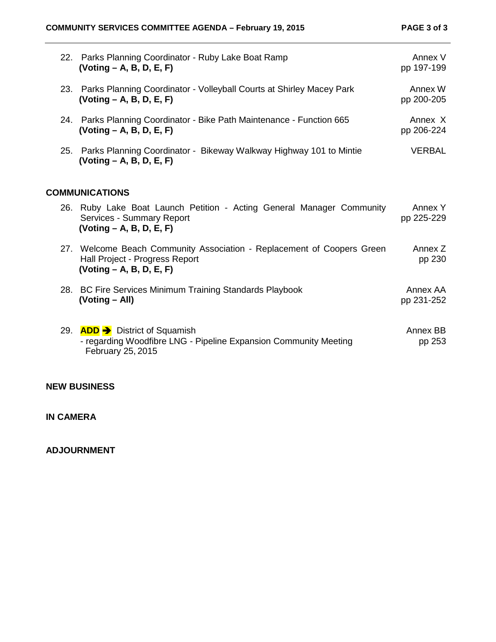|                       | 22. Parks Planning Coordinator - Ruby Lake Boat Ramp<br>$(Voting - A, B, D, E, F)$                                                      | Annex V<br>pp 197-199  |  |  |
|-----------------------|-----------------------------------------------------------------------------------------------------------------------------------------|------------------------|--|--|
|                       | 23. Parks Planning Coordinator - Volleyball Courts at Shirley Macey Park<br>$( Voting - A, B, D, E, F)$                                 | Annex W<br>pp 200-205  |  |  |
|                       | 24. Parks Planning Coordinator - Bike Path Maintenance - Function 665<br>$( Voting - A, B, D, E, F)$                                    | Annex X<br>pp 206-224  |  |  |
| 25.                   | Parks Planning Coordinator - Bikeway Walkway Highway 101 to Mintie<br>$(Voting - A, B, D, E, F)$                                        | <b>VERBAL</b>          |  |  |
| <b>COMMUNICATIONS</b> |                                                                                                                                         |                        |  |  |
|                       | 26. Ruby Lake Boat Launch Petition - Acting General Manager Community<br>Services - Summary Report<br>$( Voting - A, B, D, E, F)$       | Annex Y<br>pp 225-229  |  |  |
|                       | 27. Welcome Beach Community Association - Replacement of Coopers Green<br>Hall Project - Progress Report<br>$( Voting - A, B, D, E, F)$ | Annex Z<br>pp 230      |  |  |
|                       | 28. BC Fire Services Minimum Training Standards Playbook<br>(Voting - All)                                                              | Annex AA<br>pp 231-252 |  |  |
|                       | 29. ADD → District of Squamish<br>- regarding Woodfibre LNG - Pipeline Expansion Community Meeting<br>February 25, 2015                 | Annex BB<br>pp 253     |  |  |

#### **NEW BUSINESS**

#### **IN CAMERA**

**ADJOURNMENT**